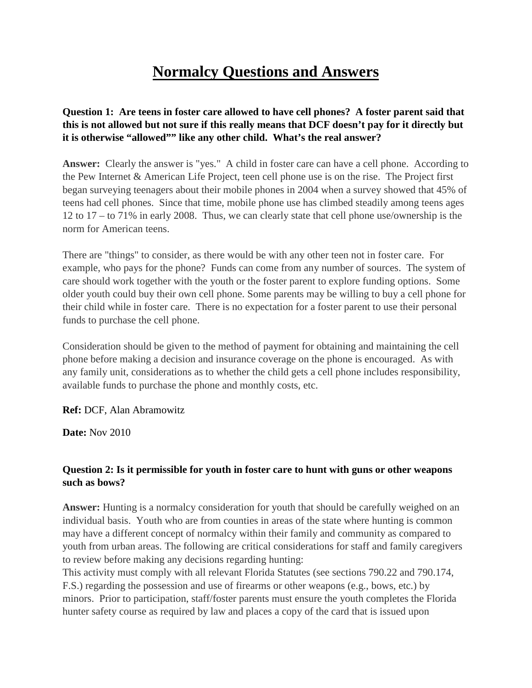## **Normalcy Questions and Answers**

**Question 1: Are teens in foster care allowed to have cell phones? A foster parent said that this is not allowed but not sure if this really means that DCF doesn't pay for it directly but it is otherwise "allowed"" like any other child. What's the real answer?**

**Answer:** Clearly the answer is "yes." A child in foster care can have a cell phone. According to the Pew Internet & American Life Project, teen cell phone use is on the rise. The Project first began surveying teenagers about their mobile phones in 2004 when a survey showed that 45% of teens had cell phones. Since that time, mobile phone use has climbed steadily among teens ages 12 to 17 – to 71% in early 2008. Thus, we can clearly state that cell phone use/ownership is the norm for American teens.

There are "things" to consider, as there would be with any other teen not in foster care. For example, who pays for the phone? Funds can come from any number of sources. The system of care should work together with the youth or the foster parent to explore funding options. Some older youth could buy their own cell phone. Some parents may be willing to buy a cell phone for their child while in foster care. There is no expectation for a foster parent to use their personal funds to purchase the cell phone.

Consideration should be given to the method of payment for obtaining and maintaining the cell phone before making a decision and insurance coverage on the phone is encouraged. As with any family unit, considerations as to whether the child gets a cell phone includes responsibility, available funds to purchase the phone and monthly costs, etc.

## **Ref:** DCF, Alan Abramowitz

**Date:** Nov 2010

## **Question 2: Is it permissible for youth in foster care to hunt with guns or other weapons such as bows?**

**Answer:** Hunting is a normalcy consideration for youth that should be carefully weighed on an individual basis. Youth who are from counties in areas of the state where hunting is common may have a different concept of normalcy within their family and community as compared to youth from urban areas. The following are critical considerations for staff and family caregivers to review before making any decisions regarding hunting:

This activity must comply with all relevant Florida Statutes (see sections 790.22 and 790.174, F.S.) regarding the possession and use of firearms or other weapons (e.g., bows, etc.) by minors. Prior to participation, staff/foster parents must ensure the youth completes the Florida hunter safety course as required by law and places a copy of the card that is issued upon